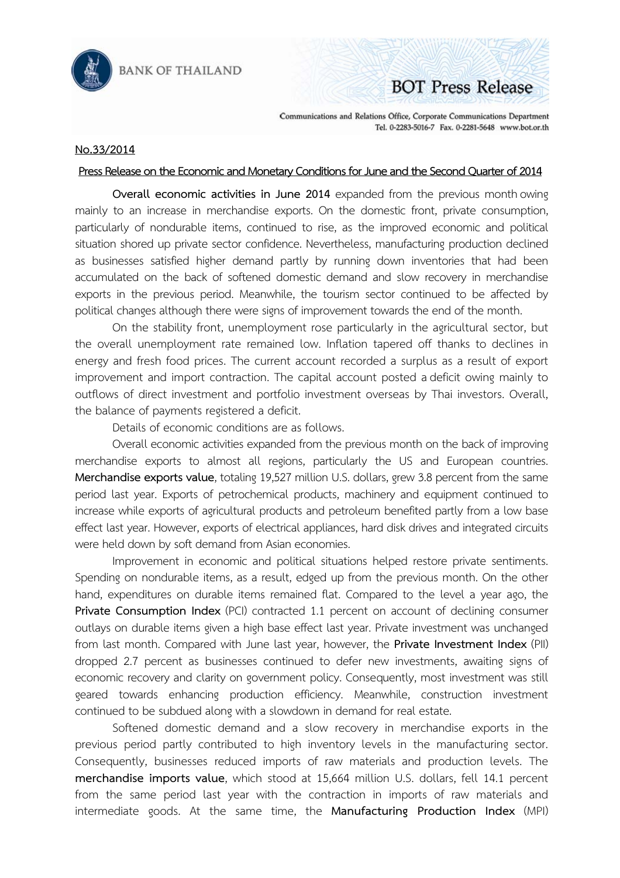

## **BOT Press Release**

Communications and Relations Office, Corporate Communications Department Tel. 0-2283-5016-7 Fax. 0-2281-5648 www.bot.or.th

## **No.33/2014**

## **Press Release on the Economic and Monetary Conditions for June and the Second Quarter of 2014**

**Overall economic activities in June 2014** expanded from the previous monthowing mainly to an increase in merchandise exports. On the domestic front, private consumption, particularly of nondurable items, continued to rise, as the improved economic and political situation shored up private sector confidence. Nevertheless, manufacturing production declined as businesses satisfied higher demand partly by running down inventories that had been accumulated on the back of softened domestic demand and slow recovery in merchandise exports in the previous period. Meanwhile, the tourism sector continued to be affected by political changes although there were signs of improvement towards the end of the month.

On the stability front, unemployment rose particularly in the agricultural sector, but the overall unemployment rate remained low. Inflation tapered off thanks to declines in energy and fresh food prices. The current account recorded a surplus as a result of export improvement and import contraction. The capital account posted a deficit owing mainly to outflows of direct investment and portfolio investment overseas by Thai investors. Overall, the balance of payments registered a deficit.

Details of economic conditions are as follows.

 Overall economic activities expanded from the previous month on the back of improving merchandise exports to almost all regions, particularly the US and European countries. **Merchandise exports value**, totaling 19,527 million U.S. dollars, grew 3.8 percent from the same period last year. Exports of petrochemical products, machinery and equipment continued to increase while exports of agricultural products and petroleum benefited partly from a low base effect last year. However, exports of electrical appliances, hard disk drives and integrated circuits were held down by soft demand from Asian economies.

 Improvement in economic and political situations helped restore private sentiments. Spending on nondurable items, as a result, edged up from the previous month. On the other hand, expenditures on durable items remained flat. Compared to the level a year ago, the **Private Consumption Index** (PCI) contracted 1.1 percent on account of declining consumer outlays on durable items given a high base effect last year. Private investment was unchanged from last month. Compared with June last year, however, the **Private Investment Index** (PII) dropped 2.7 percent as businesses continued to defer new investments, awaiting signs of economic recovery and clarity on government policy. Consequently, most investment was still geared towards enhancing production efficiency. Meanwhile, construction investment continued to be subdued along with a slowdown in demand for real estate.

 Softened domestic demand and a slow recovery in merchandise exports in the previous period partly contributed to high inventory levels in the manufacturing sector. Consequently, businesses reduced imports of raw materials and production levels. The **merchandise imports value**, which stood at 15,664 million U.S. dollars, fell 14.1 percent from the same period last year with the contraction in imports of raw materials and intermediate goods. At the same time, the **Manufacturing Production Index** (MPI)